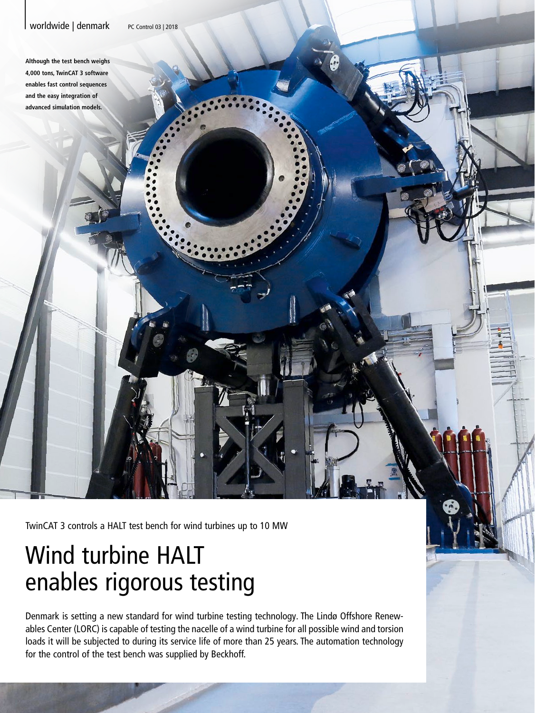## Worldwide | denmark PC Control 03 | 2018

**Although the test bench weighs 4,000 tons, TwinCAT 3 software enables fast control sequences and the easy integration of advanced simulation models.**

TwinCAT 3 controls a HALT test bench for wind turbines up to 10 MW

## Wind turbine HALT enables rigorous testing

Denmark is setting a new standard for wind turbine testing technology. The Lindø Offshore Renewables Center (LORC) is capable of testing the nacelle of a wind turbine for all possible wind and torsion loads it will be subjected to during its service life of more than 25 years. The automation technology for the control of the test bench was supplied by Beckhoff.